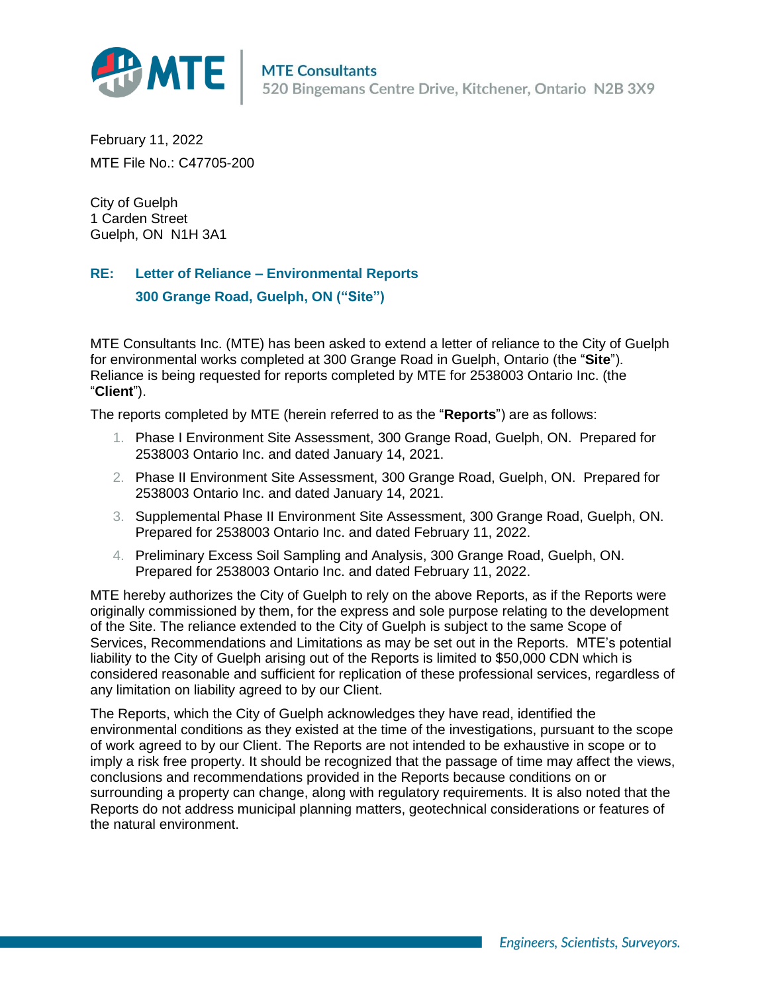

February 11, 2022 MTE File No.: C47705-200

City of Guelph 1 Carden Street Guelph, ON N1H 3A1

## **RE: Letter of Reliance – Environmental Reports**

**300 Grange Road, Guelph, ON ("Site")**

MTE Consultants Inc. (MTE) has been asked to extend a letter of reliance to the City of Guelph for environmental works completed at 300 Grange Road in Guelph, Ontario (the "**Site**"). Reliance is being requested for reports completed by MTE for 2538003 Ontario Inc. (the "**Client**").

The reports completed by MTE (herein referred to as the "**Reports**") are as follows:

- 1. Phase I Environment Site Assessment, 300 Grange Road, Guelph, ON. Prepared for 2538003 Ontario Inc. and dated January 14, 2021.
- 2. Phase II Environment Site Assessment, 300 Grange Road, Guelph, ON. Prepared for 2538003 Ontario Inc. and dated January 14, 2021.
- 3. Supplemental Phase II Environment Site Assessment, 300 Grange Road, Guelph, ON. Prepared for 2538003 Ontario Inc. and dated February 11, 2022.
- 4. Preliminary Excess Soil Sampling and Analysis, 300 Grange Road, Guelph, ON. Prepared for 2538003 Ontario Inc. and dated February 11, 2022.

MTE hereby authorizes the City of Guelph to rely on the above Reports, as if the Reports were originally commissioned by them, for the express and sole purpose relating to the development of the Site. The reliance extended to the City of Guelph is subject to the same Scope of Services, Recommendations and Limitations as may be set out in the Reports. MTE's potential liability to the City of Guelph arising out of the Reports is limited to \$50,000 CDN which is considered reasonable and sufficient for replication of these professional services, regardless of any limitation on liability agreed to by our Client.

The Reports, which the City of Guelph acknowledges they have read, identified the environmental conditions as they existed at the time of the investigations, pursuant to the scope of work agreed to by our Client. The Reports are not intended to be exhaustive in scope or to imply a risk free property. It should be recognized that the passage of time may affect the views, conclusions and recommendations provided in the Reports because conditions on or surrounding a property can change, along with regulatory requirements. It is also noted that the Reports do not address municipal planning matters, geotechnical considerations or features of the natural environment.